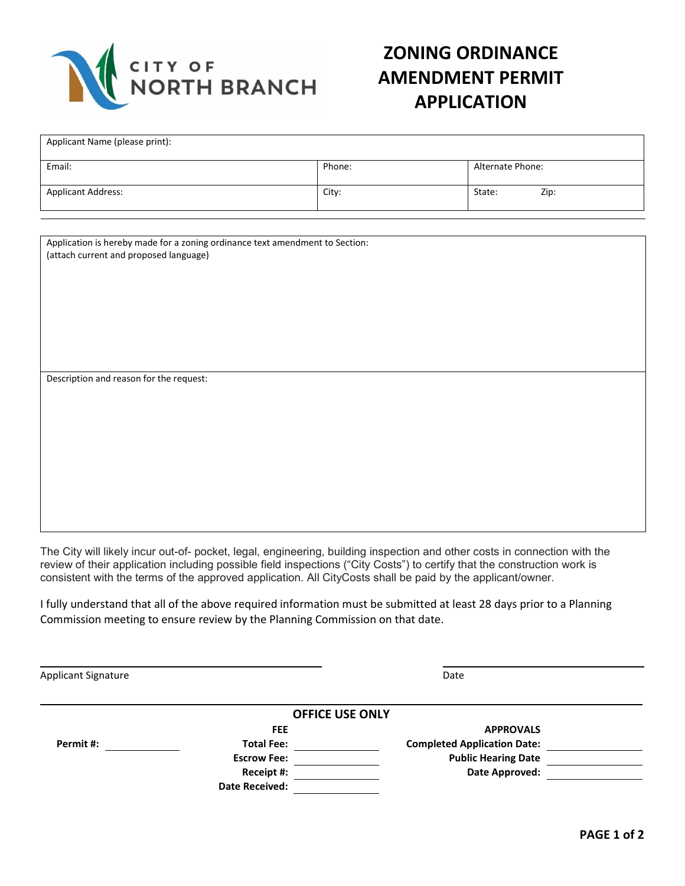

## **ZONING ORDINANCE AMENDMENT PERMIT APPLICATION**

| Applicant Name (please print): |        |                  |
|--------------------------------|--------|------------------|
| Email:                         | Phone: | Alternate Phone: |
| <b>Applicant Address:</b>      | City:  | Zip:<br>State:   |

Application is hereby made for a zoning ordinance text amendment to Section: (attach current and proposed language)

Description and reason for the request:

The City will likely incur out-of- pocket, legal, engineering, building inspection and other costs in connection with the review of their application including possible field inspections ("City Costs") to certify that the construction work is consistent with the terms of the approved application. All CityCosts shall be paid by the applicant/owner.

I fully understand that all of the above required information must be submitted at least 28 days prior to a Planning Commission meeting to ensure review by the Planning Commission on that date.

Applicant Signature Date Date of the Date of the Date of the Date of the Date of the Date of the Date of the Date of the Date of the Date of the Date of the Date of the Date of the Date of the Date of the Date of the Date

|           | <b>OFFICE USE ONLY</b> |                                    |  |
|-----------|------------------------|------------------------------------|--|
|           | <b>FEE</b>             | <b>APPROVALS</b>                   |  |
| Permit #: | <b>Total Fee:</b>      | <b>Completed Application Date:</b> |  |
|           | <b>Escrow Fee:</b>     | <b>Public Hearing Date</b>         |  |
|           | Receipt #:             | Date Approved:                     |  |
|           | <b>Date Received:</b>  |                                    |  |